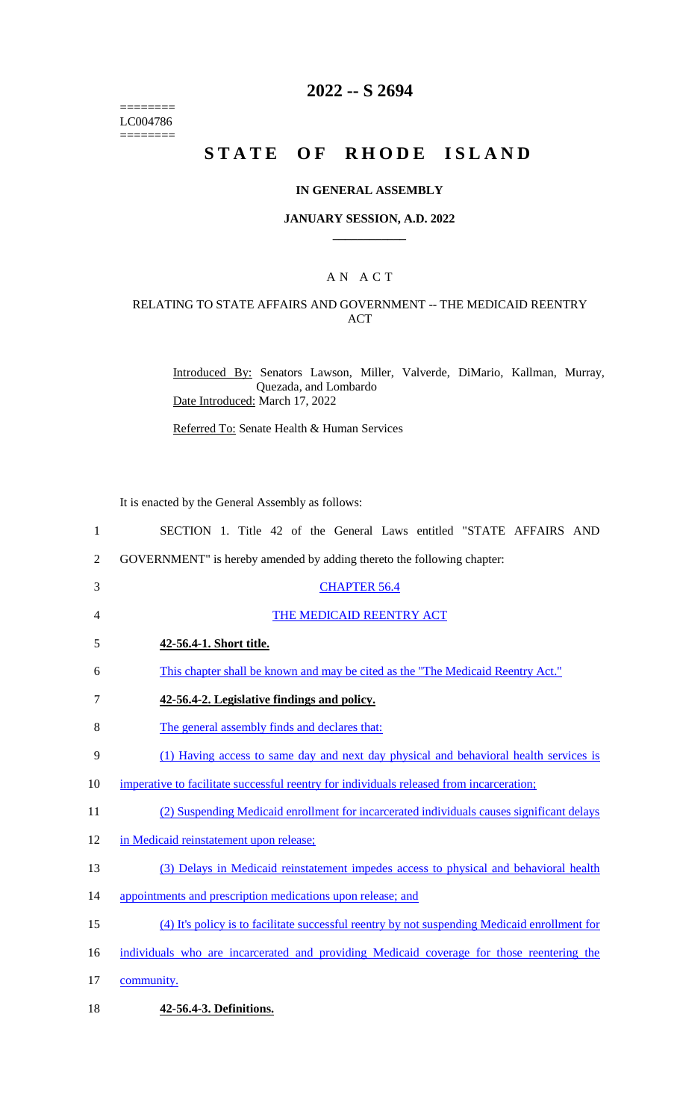======== LC004786  $=$ 

## **2022 -- S 2694**

# **STATE OF RHODE ISLAND**

### **IN GENERAL ASSEMBLY**

#### **JANUARY SESSION, A.D. 2022 \_\_\_\_\_\_\_\_\_\_\_\_**

### A N A C T

### RELATING TO STATE AFFAIRS AND GOVERNMENT -- THE MEDICAID REENTRY ACT

Introduced By: Senators Lawson, Miller, Valverde, DiMario, Kallman, Murray, Quezada, and Lombardo Date Introduced: March 17, 2022

Referred To: Senate Health & Human Services

It is enacted by the General Assembly as follows:

| $\mathbf{1}$ | SECTION 1. Title 42 of the General Laws entitled "STATE AFFAIRS AND                           |
|--------------|-----------------------------------------------------------------------------------------------|
| 2            | GOVERNMENT" is hereby amended by adding thereto the following chapter:                        |
| 3            | <b>CHAPTER 56.4</b>                                                                           |
| 4            | THE MEDICAID REENTRY ACT                                                                      |
| 5            | 42-56.4-1. Short title.                                                                       |
| 6            | This chapter shall be known and may be cited as the "The Medicaid Reentry Act."               |
| 7            | 42-56.4-2. Legislative findings and policy.                                                   |
| 8            | The general assembly finds and declares that:                                                 |
| 9            | (1) Having access to same day and next day physical and behavioral health services is         |
| 10           | imperative to facilitate successful reentry for individuals released from incarceration;      |
| 11           | (2) Suspending Medicaid enrollment for incarcerated individuals causes significant delays     |
| 12           | in Medicaid reinstatement upon release;                                                       |
| 13           | (3) Delays in Medicaid reinstatement impedes access to physical and behavioral health         |
| 14           | appointments and prescription medications upon release; and                                   |
| 15           | (4) It's policy is to facilitate successful reentry by not suspending Medicaid enrollment for |
| 16           | individuals who are incarcerated and providing Medicaid coverage for those reentering the     |
| 17           | community.                                                                                    |
| 18           | 42-56.4-3. Definitions.                                                                       |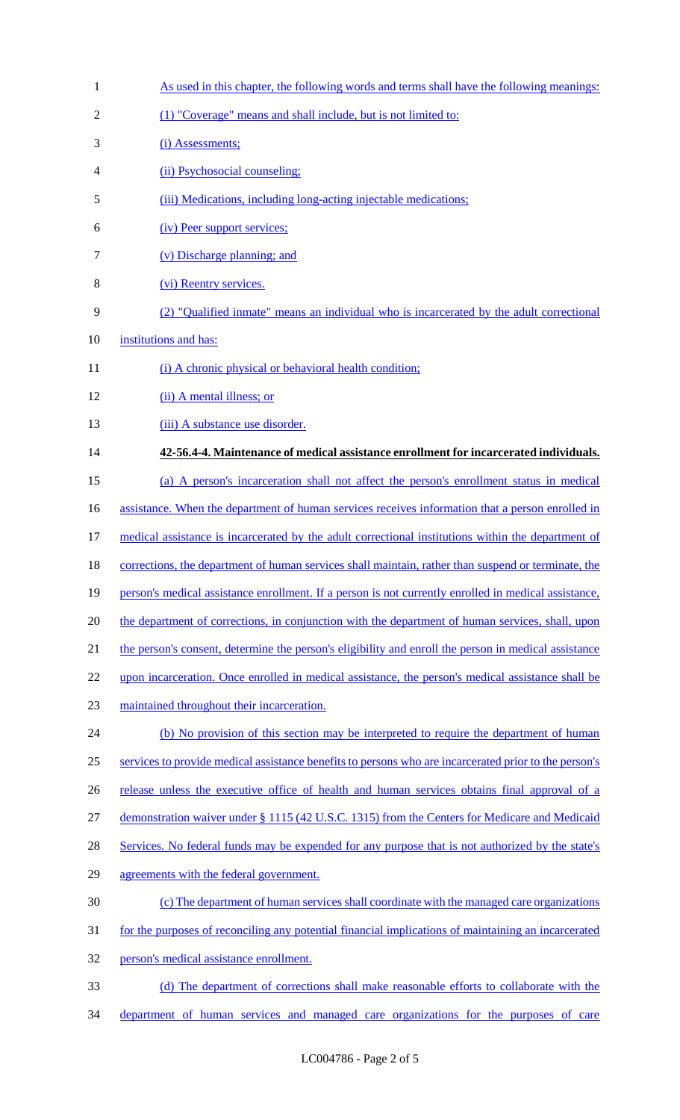| $\mathbf{1}$   | As used in this chapter, the following words and terms shall have the following meanings:             |
|----------------|-------------------------------------------------------------------------------------------------------|
| $\overline{2}$ | (1) "Coverage" means and shall include, but is not limited to:                                        |
| 3              | (i) Assessments;                                                                                      |
| 4              | (ii) Psychosocial counseling;                                                                         |
| 5              | (iii) Medications, including long-acting injectable medications;                                      |
| 6              | (iv) Peer support services;                                                                           |
| 7              | (v) Discharge planning; and                                                                           |
| 8              | (vi) Reentry services.                                                                                |
| 9              | (2) "Qualified inmate" means an individual who is incarcerated by the adult correctional              |
| 10             | institutions and has:                                                                                 |
| 11             | (i) A chronic physical or behavioral health condition;                                                |
| 12             | (ii) A mental illness; or                                                                             |
| 13             | (iii) A substance use disorder.                                                                       |
| 14             | 42-56.4-4. Maintenance of medical assistance enrollment for incarcerated individuals.                 |
| 15             | (a) A person's incarceration shall not affect the person's enrollment status in medical               |
| 16             | assistance. When the department of human services receives information that a person enrolled in      |
| 17             | medical assistance is incarcerated by the adult correctional institutions within the department of    |
| 18             | corrections, the department of human services shall maintain, rather than suspend or terminate, the   |
| 19             | person's medical assistance enrollment. If a person is not currently enrolled in medical assistance,  |
| 20             | the department of corrections, in conjunction with the department of human services, shall, upon      |
| 21             | the person's consent, determine the person's eligibility and enroll the person in medical assistance  |
| 22             | upon incarceration. Once enrolled in medical assistance, the person's medical assistance shall be     |
| 23             | maintained throughout their incarceration.                                                            |
| 24             | (b) No provision of this section may be interpreted to require the department of human                |
| 25             | services to provide medical assistance benefits to persons who are incarcerated prior to the person's |
| 26             | release unless the executive office of health and human services obtains final approval of a          |
| 27             | demonstration waiver under § 1115 (42 U.S.C. 1315) from the Centers for Medicare and Medicaid         |
| 28             | Services. No federal funds may be expended for any purpose that is not authorized by the state's      |
| 29             | agreements with the federal government.                                                               |
| 30             | (c) The department of human services shall coordinate with the managed care organizations             |
| 31             | for the purposes of reconciling any potential financial implications of maintaining an incarcerated   |
| 32             | person's medical assistance enrollment.                                                               |
| 33             | (d) The department of corrections shall make reasonable efforts to collaborate with the               |
| 34             | department of human services and managed care organizations for the purposes of care                  |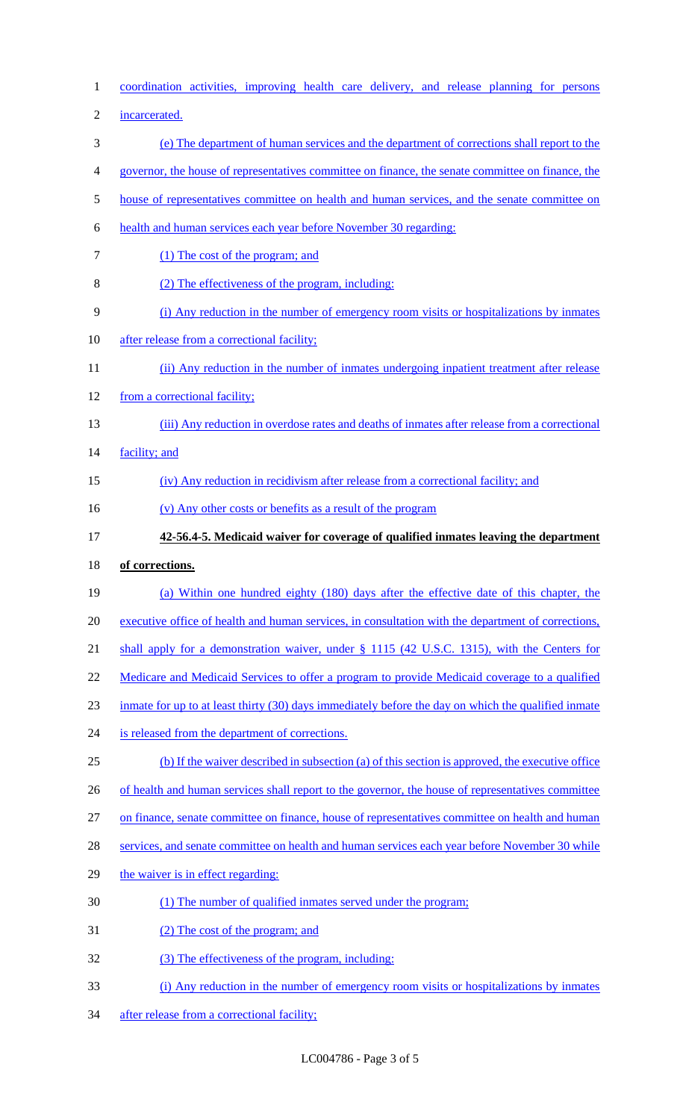| $\mathbf{1}$   | coordination activities, improving health care delivery, and release planning for persons            |
|----------------|------------------------------------------------------------------------------------------------------|
| $\overline{2}$ | incarcerated.                                                                                        |
| 3              | (e) The department of human services and the department of corrections shall report to the           |
| 4              | governor, the house of representatives committee on finance, the senate committee on finance, the    |
| 5              | house of representatives committee on health and human services, and the senate committee on         |
| 6              | health and human services each year before November 30 regarding:                                    |
| $\tau$         | (1) The cost of the program; and                                                                     |
| 8              | (2) The effectiveness of the program, including:                                                     |
| 9              | (i) Any reduction in the number of emergency room visits or hospitalizations by inmates              |
| 10             | after release from a correctional facility;                                                          |
| 11             | (ii) Any reduction in the number of inmates undergoing inpatient treatment after release             |
| 12             | from a correctional facility;                                                                        |
| 13             | (iii) Any reduction in overdose rates and deaths of inmates after release from a correctional        |
| 14             | facility; and                                                                                        |
| 15             | (iv) Any reduction in recidivism after release from a correctional facility; and                     |
| 16             | (v) Any other costs or benefits as a result of the program                                           |
| 17             | 42-56.4-5. Medicaid waiver for coverage of qualified inmates leaving the department                  |
|                |                                                                                                      |
| 18             | of corrections.                                                                                      |
| 19             | (a) Within one hundred eighty (180) days after the effective date of this chapter, the               |
| 20             | executive office of health and human services, in consultation with the department of corrections,   |
| 21             | shall apply for a demonstration waiver, under § 1115 (42 U.S.C. 1315), with the Centers for          |
| 22             | <u>Medicare and Medicaid Services to offer a program to provide Medicaid coverage to a qualified</u> |
| 23             | inmate for up to at least thirty (30) days immediately before the day on which the qualified inmate  |
| 24             | is released from the department of corrections.                                                      |
| 25             | (b) If the waiver described in subsection (a) of this section is approved, the executive office      |
| 26             | of health and human services shall report to the governor, the house of representatives committee    |
| 27             | on finance, senate committee on finance, house of representatives committee on health and human      |
| 28             | services, and senate committee on health and human services each year before November 30 while       |
| 29             | the waiver is in effect regarding:                                                                   |
| 30             | (1) The number of qualified inmates served under the program;                                        |
| 31             | (2) The cost of the program; and                                                                     |
| 32             | (3) The effectiveness of the program, including:                                                     |
| 33             | (i) Any reduction in the number of emergency room visits or hospitalizations by inmates              |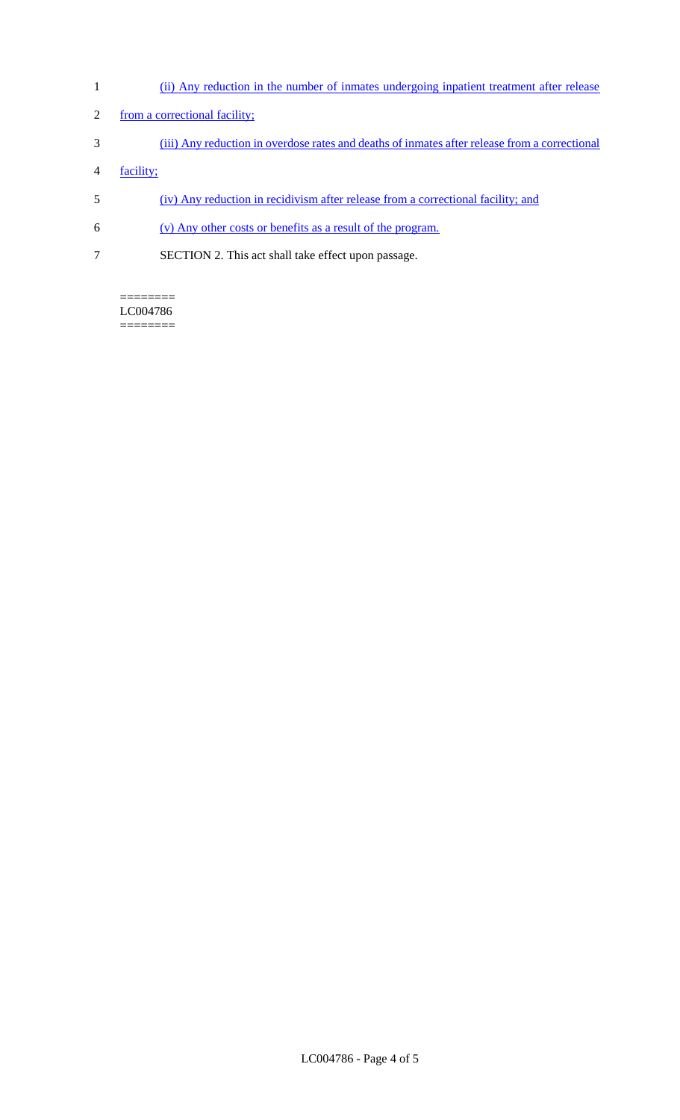- 1 (ii) Any reduction in the number of inmates undergoing inpatient treatment after release
- 2 from a correctional facility;
- 3 (iii) Any reduction in overdose rates and deaths of inmates after release from a correctional
- 4 facility;
- 5 (iv) Any reduction in recidivism after release from a correctional facility; and
- 6 (v) Any other costs or benefits as a result of the program.
- 7 SECTION 2. This act shall take effect upon passage.

======== LC004786 ========